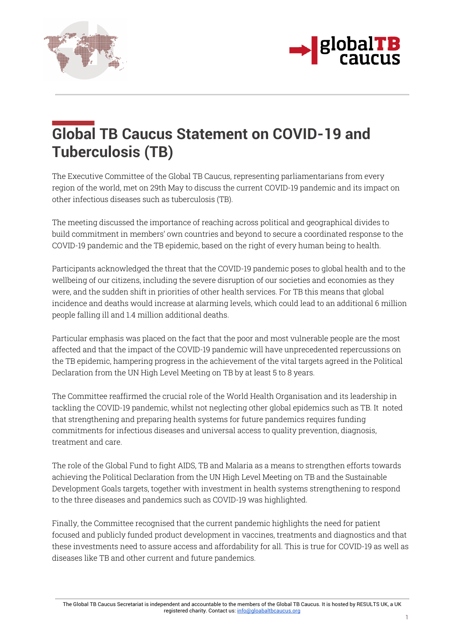



## **Global TB Caucus Statement on COVID-19 and Tuberculosis (TB)**

The Executive Committee of the Global TB Caucus, representing parliamentarians from every region of the world, met on 29th May to discuss the current COVID-19 pandemic and its impact on other infectious diseases such as tuberculosis (TB).

The meeting discussed the importance of reaching across political and geographical divides to build commitment in members' own countries and beyond to secure a coordinated response to the COVID-19 pandemic and the TB epidemic, based on the right of every human being to health.

Participants acknowledged the threat that the COVID-19 pandemic poses to global health and to the wellbeing of our citizens, including the severe disruption of our societies and economies as they were, and the sudden shift in priorities of other health services. For TB this means that global incidence and deaths would increase at alarming levels, which could lead to an additional 6 million people falling ill and 1.4 million additional deaths.

Particular emphasis was placed on the fact that the poor and most vulnerable people are the most affected and that the impact of the COVID-19 pandemic will have unprecedented repercussions on the TB epidemic, hampering progress in the achievement of the vital targets agreed in the Political Declaration from the UN High Level Meeting on TB by at least 5 to 8 years.

The Committee reaffirmed the crucial role of the World Health Organisation and its leadership in tackling the COVID-19 pandemic, whilst not neglecting other global epidemics such as TB. It noted that strengthening and preparing health systems for future pandemics requires funding commitments for infectious diseases and universal access to quality prevention, diagnosis, treatment and care.

The role of the Global Fund to fight AIDS, TB and Malaria as a means to strengthen efforts towards achieving the Political Declaration from the UN High Level Meeting on TB and the Sustainable Development Goals targets, together with investment in health systems strengthening to respond to the three diseases and pandemics such as COVID-19 was highlighted.

Finally, the Committee recognised that the current pandemic highlights the need for patient focused and publicly funded product development in vaccines, treatments and diagnostics and that these investments need to assure access and affordability for all. This is true for COVID-19 as well as diseases like TB and other current and future pandemics.

The Global TB Caucus Secretariat is independent and accountable to the members of the Global TB Caucus. It is hosted by RESULTS UK, a UK registered charity. Contact us: info@gloabaltbcaucus.org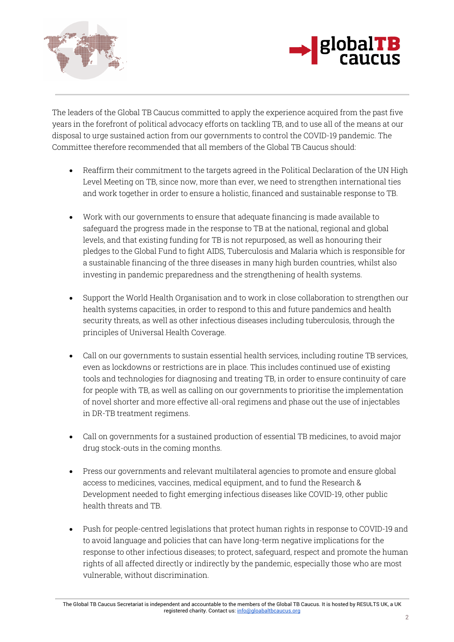



The leaders of the Global TB Caucus committed to apply the experience acquired from the past five years in the forefront of political advocacy efforts on tackling TB, and to use all of the means at our disposal to urge sustained action from our governments to control the COVID-19 pandemic. The Committee therefore recommended that all members of the Global TB Caucus should:

- Reaffirm their commitment to the targets agreed in the Political Declaration of the UN High Level Meeting on TB, since now, more than ever, we need to strengthen international ties and work together in order to ensure a holistic, financed and sustainable response to TB.
- Work with our governments to ensure that adequate financing is made available to safeguard the progress made in the response to TB at the national, regional and global levels, and that existing funding for TB is not repurposed, as well as honouring their pledges to the Global Fund to fight AIDS, Tuberculosis and Malaria which is responsible for a sustainable financing of the three diseases in many high burden countries, whilst also investing in pandemic preparedness and the strengthening of health systems.
- Support the World Health Organisation and to work in close collaboration to strengthen our health systems capacities, in order to respond to this and future pandemics and health security threats, as well as other infectious diseases including tuberculosis, through the principles of Universal Health Coverage.
- Call on our governments to sustain essential health services, including routine TB services, even as lockdowns or restrictions are in place. This includes continued use of existing tools and technologies for diagnosing and treating TB, in order to ensure continuity of care for people with TB, as well as calling on our governments to prioritise the implementation of novel shorter and more effective all-oral regimens and phase out the use of injectables in DR-TB treatment regimens.
- Call on governments for a sustained production of essential TB medicines, to avoid major drug stock-outs in the coming months.
- Press our governments and relevant multilateral agencies to promote and ensure global access to medicines, vaccines, medical equipment, and to fund the Research & Development needed to fight emerging infectious diseases like COVID-19, other public health threats and TB.
- Push for people-centred legislations that protect human rights in response to COVID-19 and to avoid language and policies that can have long-term negative implications for the response to other infectious diseases; to protect, safeguard, respect and promote the human rights of all affected directly or indirectly by the pandemic, especially those who are most vulnerable, without discrimination.